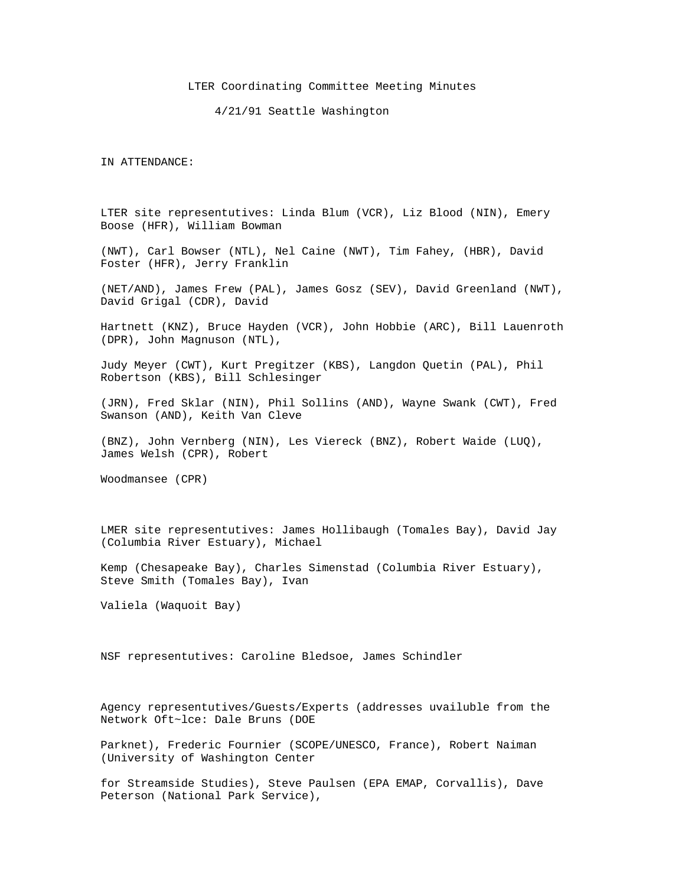## LTER Coordinating Committee Meeting Minutes

4/21/91 Seattle Washington

IN ATTENDANCE:

LTER site representutives: Linda Blum (VCR), Liz Blood (NIN), Emery Boose (HFR), William Bowman

(NWT), Carl Bowser (NTL), Nel Caine (NWT), Tim Fahey, (HBR), David Foster (HFR), Jerry Franklin

(NET/AND), James Frew (PAL), James Gosz (SEV), David Greenland (NWT), David Grigal (CDR), David

Hartnett (KNZ), Bruce Hayden (VCR), John Hobbie (ARC), Bill Lauenroth (DPR), John Magnuson (NTL),

Judy Meyer (CWT), Kurt Pregitzer (KBS), Langdon Quetin (PAL), Phil Robertson (KBS), Bill Schlesinger

(JRN), Fred Sklar (NIN), Phil Sollins (AND), Wayne Swank (CWT), Fred Swanson (AND), Keith Van Cleve

(BNZ), John Vernberg (NIN), Les Viereck (BNZ), Robert Waide (LUQ), James Welsh (CPR), Robert

Woodmansee (CPR)

LMER site representutives: James Hollibaugh (Tomales Bay), David Jay (Columbia River Estuary), Michael

Kemp (Chesapeake Bay), Charles Simenstad (Columbia River Estuary), Steve Smith (Tomales Bay), Ivan

Valiela (Waquoit Bay)

NSF representutives: Caroline Bledsoe, James Schindler

Agency representutives/Guests/Experts (addresses uvailuble from the Network Oft~lce: Dale Bruns (DOE

Parknet), Frederic Fournier (SCOPE/UNESCO, France), Robert Naiman (University of Washington Center

for Streamside Studies), Steve Paulsen (EPA EMAP, Corvallis), Dave Peterson (National Park Service),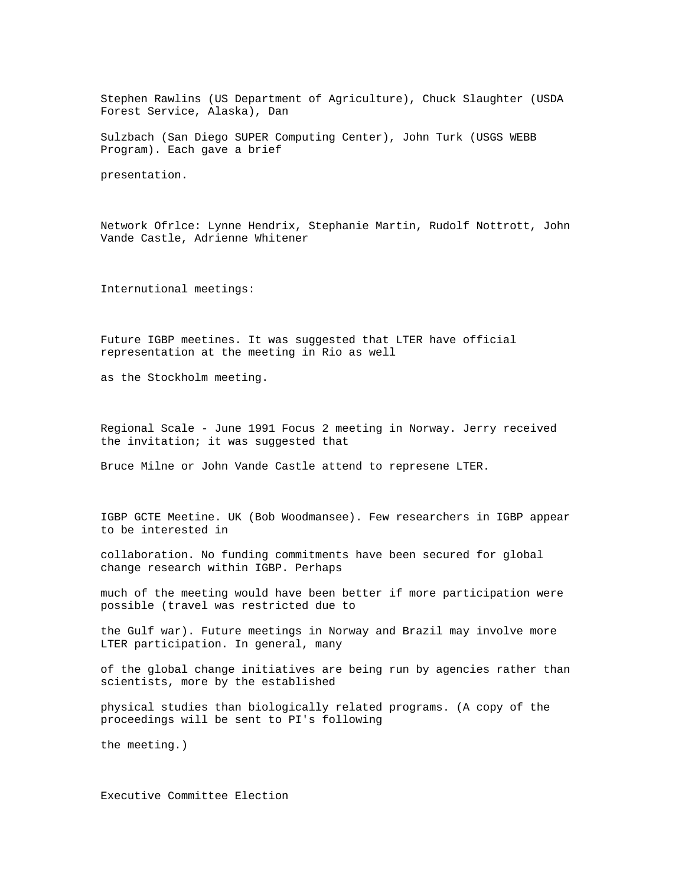Stephen Rawlins (US Department of Agriculture), Chuck Slaughter (USDA Forest Service, Alaska), Dan

Sulzbach (San Diego SUPER Computing Center), John Turk (USGS WEBB Program). Each gave a brief

presentation.

Network Ofrlce: Lynne Hendrix, Stephanie Martin, Rudolf Nottrott, John Vande Castle, Adrienne Whitener

Internutional meetings:

Future IGBP meetines. It was suggested that LTER have official representation at the meeting in Rio as well

as the Stockholm meeting.

Regional Scale - June 1991 Focus 2 meeting in Norway. Jerry received the invitation; it was suggested that

Bruce Milne or John Vande Castle attend to represene LTER.

IGBP GCTE Meetine. UK (Bob Woodmansee). Few researchers in IGBP appear to be interested in

collaboration. No funding commitments have been secured for global change research within IGBP. Perhaps

much of the meeting would have been better if more participation were possible (travel was restricted due to

the Gulf war). Future meetings in Norway and Brazil may involve more LTER participation. In general, many

of the global change initiatives are being run by agencies rather than scientists, more by the established

physical studies than biologically related programs. (A copy of the proceedings will be sent to PI's following

the meeting.)

Executive Committee Election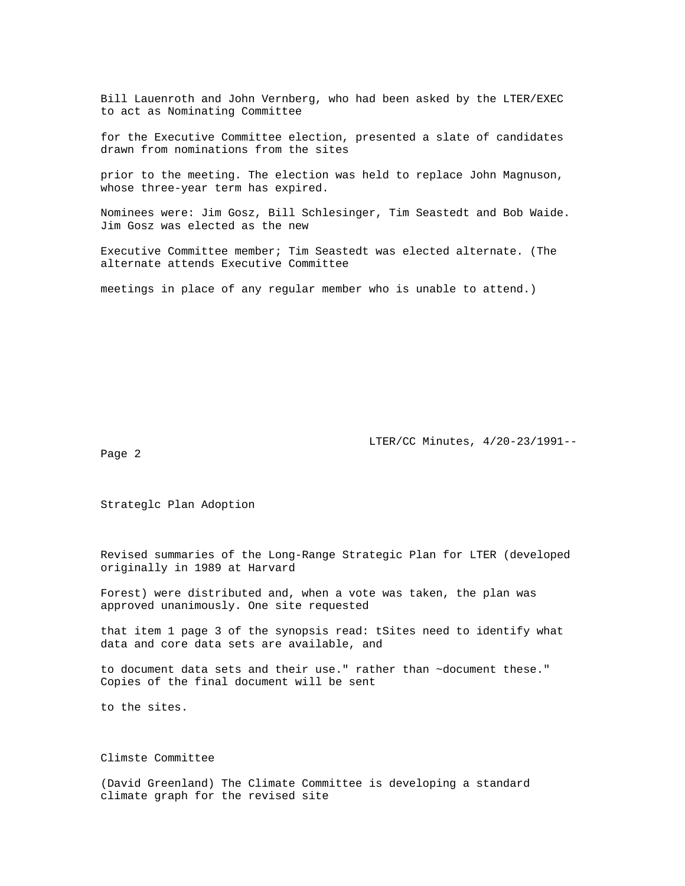Bill Lauenroth and John Vernberg, who had been asked by the LTER/EXEC to act as Nominating Committee

for the Executive Committee election, presented a slate of candidates drawn from nominations from the sites

prior to the meeting. The election was held to replace John Magnuson, whose three-year term has expired.

Nominees were: Jim Gosz, Bill Schlesinger, Tim Seastedt and Bob Waide. Jim Gosz was elected as the new

Executive Committee member; Tim Seastedt was elected alternate. (The alternate attends Executive Committee

meetings in place of any regular member who is unable to attend.)

LTER/CC Minutes, 4/20-23/1991--

Page 2

Strateglc Plan Adoption

Revised summaries of the Long-Range Strategic Plan for LTER (developed originally in 1989 at Harvard

Forest) were distributed and, when a vote was taken, the plan was approved unanimously. One site requested

that item 1 page 3 of the synopsis read: tSites need to identify what data and core data sets are available, and

to document data sets and their use." rather than ~document these." Copies of the final document will be sent

to the sites.

Climste Committee

(David Greenland) The Climate Committee is developing a standard climate graph for the revised site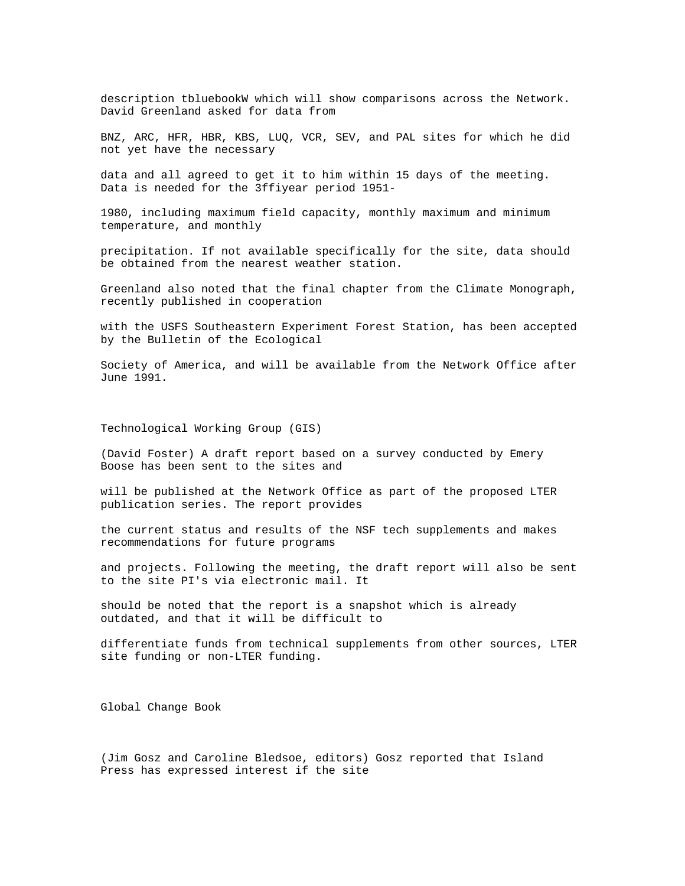description tbluebookW which will show comparisons across the Network. David Greenland asked for data from

BNZ, ARC, HFR, HBR, KBS, LUQ, VCR, SEV, and PAL sites for which he did not yet have the necessary

data and all agreed to get it to him within 15 days of the meeting. Data is needed for the 3ffiyear period 1951-

1980, including maximum field capacity, monthly maximum and minimum temperature, and monthly

precipitation. If not available specifically for the site, data should be obtained from the nearest weather station.

Greenland also noted that the final chapter from the Climate Monograph, recently published in cooperation

with the USFS Southeastern Experiment Forest Station, has been accepted by the Bulletin of the Ecological

Society of America, and will be available from the Network Office after June 1991.

Technological Working Group (GIS)

(David Foster) A draft report based on a survey conducted by Emery Boose has been sent to the sites and

will be published at the Network Office as part of the proposed LTER publication series. The report provides

the current status and results of the NSF tech supplements and makes recommendations for future programs

and projects. Following the meeting, the draft report will also be sent to the site PI's via electronic mail. It

should be noted that the report is a snapshot which is already outdated, and that it will be difficult to

differentiate funds from technical supplements from other sources, LTER site funding or non-LTER funding.

Global Change Book

(Jim Gosz and Caroline Bledsoe, editors) Gosz reported that Island Press has expressed interest if the site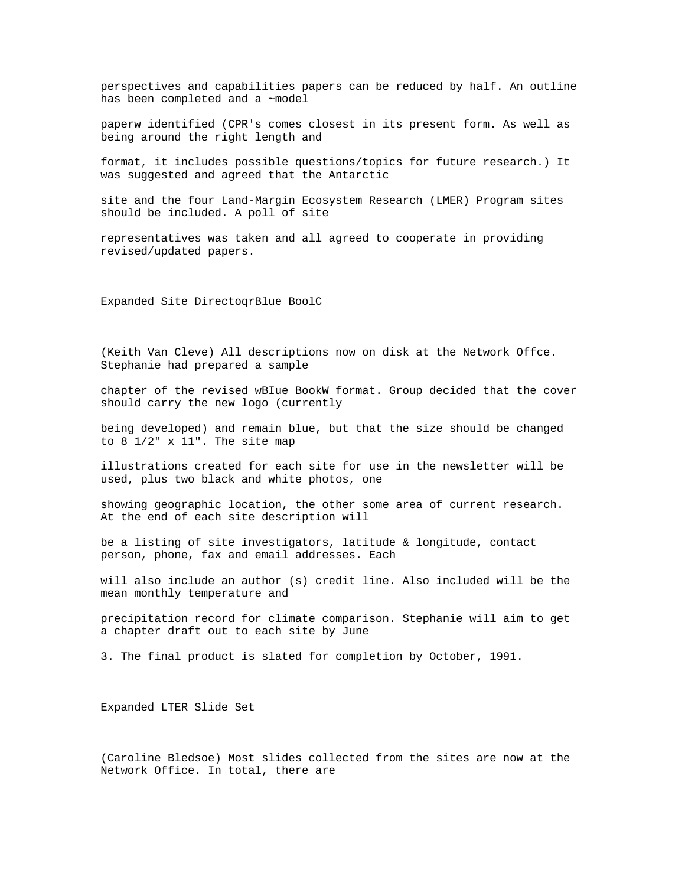perspectives and capabilities papers can be reduced by half. An outline has been completed and a ~model

paperw identified (CPR's comes closest in its present form. As well as being around the right length and

format, it includes possible questions/topics for future research.) It was suggested and agreed that the Antarctic

site and the four Land-Margin Ecosystem Research (LMER) Program sites should be included. A poll of site

representatives was taken and all agreed to cooperate in providing revised/updated papers.

Expanded Site DirectoqrBlue BoolC

(Keith Van Cleve) All descriptions now on disk at the Network Offce. Stephanie had prepared a sample

chapter of the revised wBIue BookW format. Group decided that the cover should carry the new logo (currently

being developed) and remain blue, but that the size should be changed to  $8 \frac{1}{2}$ " x  $11$ ". The site map

illustrations created for each site for use in the newsletter will be used, plus two black and white photos, one

showing geographic location, the other some area of current research. At the end of each site description will

be a listing of site investigators, latitude & longitude, contact person, phone, fax and email addresses. Each

will also include an author (s) credit line. Also included will be the mean monthly temperature and

precipitation record for climate comparison. Stephanie will aim to get a chapter draft out to each site by June

3. The final product is slated for completion by October, 1991.

Expanded LTER Slide Set

(Caroline Bledsoe) Most slides collected from the sites are now at the Network Office. In total, there are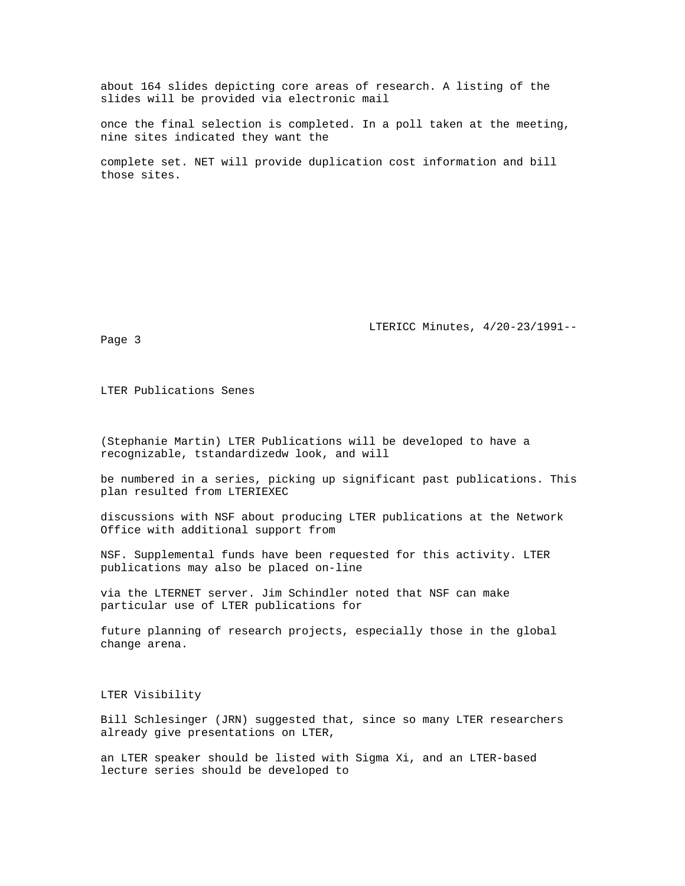about 164 slides depicting core areas of research. A listing of the slides will be provided via electronic mail

once the final selection is completed. In a poll taken at the meeting, nine sites indicated they want the

complete set. NET will provide duplication cost information and bill those sites.

LTERICC Minutes, 4/20-23/1991--

Page 3

LTER Publications Senes

(Stephanie Martin) LTER Publications will be developed to have a recognizable, tstandardizedw look, and will

be numbered in a series, picking up significant past publications. This plan resulted from LTERIEXEC

discussions with NSF about producing LTER publications at the Network Office with additional support from

NSF. Supplemental funds have been requested for this activity. LTER publications may also be placed on-line

via the LTERNET server. Jim Schindler noted that NSF can make particular use of LTER publications for

future planning of research projects, especially those in the global change arena.

LTER Visibility

Bill Schlesinger (JRN) suggested that, since so many LTER researchers already give presentations on LTER,

an LTER speaker should be listed with Sigma Xi, and an LTER-based lecture series should be developed to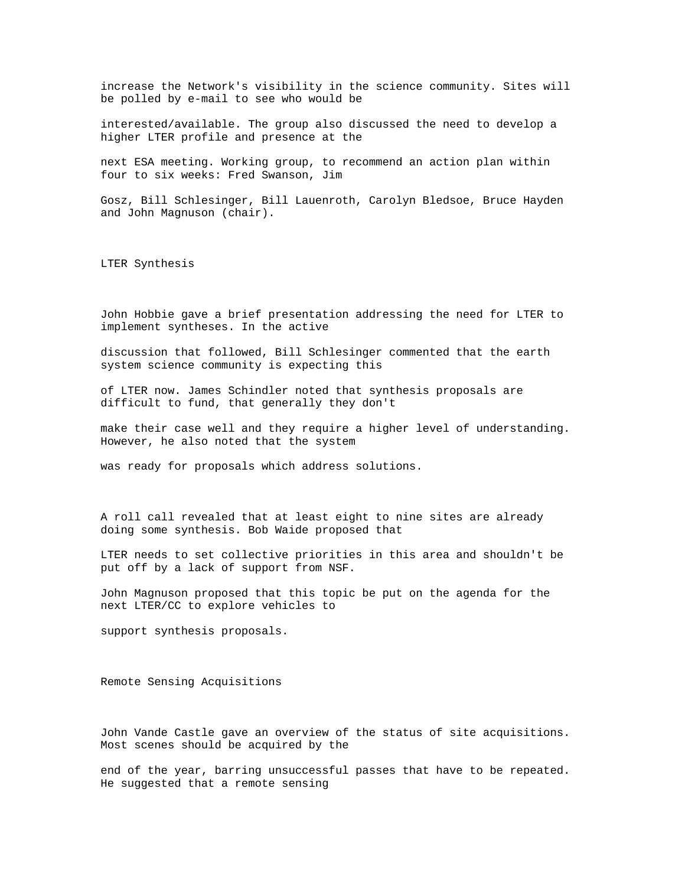increase the Network's visibility in the science community. Sites will be polled by e-mail to see who would be

interested/available. The group also discussed the need to develop a higher LTER profile and presence at the

next ESA meeting. Working group, to recommend an action plan within four to six weeks: Fred Swanson, Jim

Gosz, Bill Schlesinger, Bill Lauenroth, Carolyn Bledsoe, Bruce Hayden and John Magnuson (chair).

LTER Synthesis

John Hobbie gave a brief presentation addressing the need for LTER to implement syntheses. In the active

discussion that followed, Bill Schlesinger commented that the earth system science community is expecting this

of LTER now. James Schindler noted that synthesis proposals are difficult to fund, that generally they don't

make their case well and they require a higher level of understanding. However, he also noted that the system

was ready for proposals which address solutions.

A roll call revealed that at least eight to nine sites are already doing some synthesis. Bob Waide proposed that

LTER needs to set collective priorities in this area and shouldn't be put off by a lack of support from NSF.

John Magnuson proposed that this topic be put on the agenda for the next LTER/CC to explore vehicles to

support synthesis proposals.

Remote Sensing Acquisitions

John Vande Castle gave an overview of the status of site acquisitions. Most scenes should be acquired by the

end of the year, barring unsuccessful passes that have to be repeated. He suggested that a remote sensing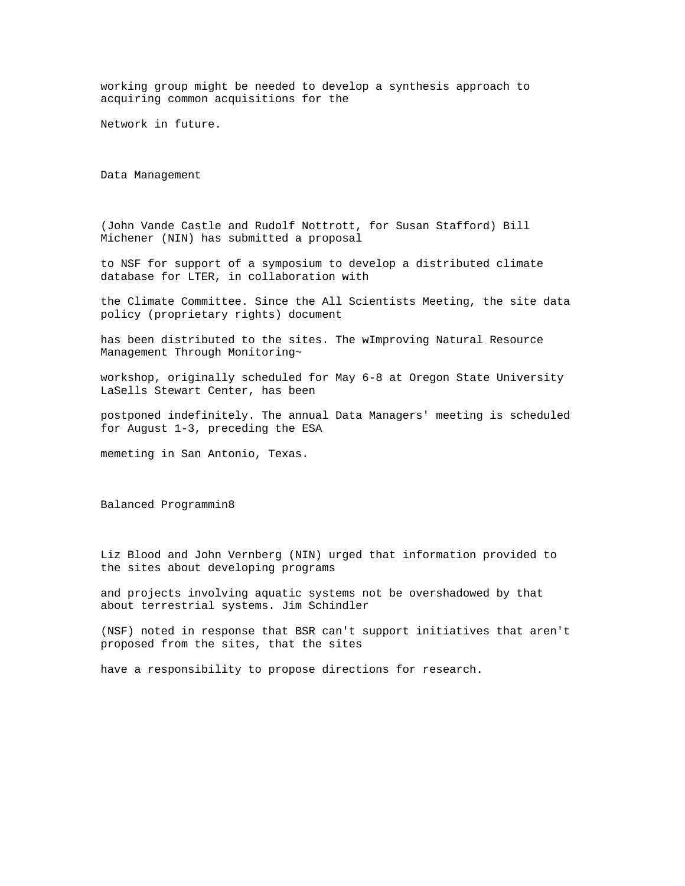working group might be needed to develop a synthesis approach to acquiring common acquisitions for the

Network in future.

Data Management

(John Vande Castle and Rudolf Nottrott, for Susan Stafford) Bill Michener (NIN) has submitted a proposal

to NSF for support of a symposium to develop a distributed climate database for LTER, in collaboration with

the Climate Committee. Since the All Scientists Meeting, the site data policy (proprietary rights) document

has been distributed to the sites. The wImproving Natural Resource Management Through Monitoring~

workshop, originally scheduled for May 6-8 at Oregon State University LaSells Stewart Center, has been

postponed indefinitely. The annual Data Managers' meeting is scheduled for August 1-3, preceding the ESA

memeting in San Antonio, Texas.

Balanced Programmin8

Liz Blood and John Vernberg (NIN) urged that information provided to the sites about developing programs

and projects involving aquatic systems not be overshadowed by that about terrestrial systems. Jim Schindler

(NSF) noted in response that BSR can't support initiatives that aren't proposed from the sites, that the sites

have a responsibility to propose directions for research.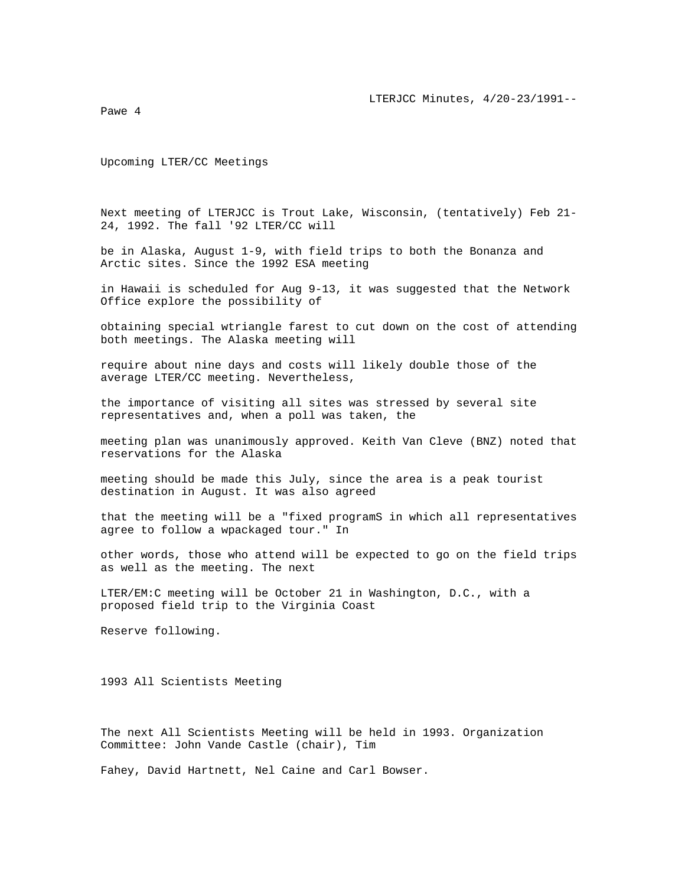Pawe 4

Upcoming LTER/CC Meetings

Next meeting of LTERJCC is Trout Lake, Wisconsin, (tentatively) Feb 21- 24, 1992. The fall '92 LTER/CC will

be in Alaska, August 1-9, with field trips to both the Bonanza and Arctic sites. Since the 1992 ESA meeting

in Hawaii is scheduled for Aug 9-13, it was suggested that the Network Office explore the possibility of

obtaining special wtriangle farest to cut down on the cost of attending both meetings. The Alaska meeting will

require about nine days and costs will likely double those of the average LTER/CC meeting. Nevertheless,

the importance of visiting all sites was stressed by several site representatives and, when a poll was taken, the

meeting plan was unanimously approved. Keith Van Cleve (BNZ) noted that reservations for the Alaska

meeting should be made this July, since the area is a peak tourist destination in August. It was also agreed

that the meeting will be a "fixed programS in which all representatives agree to follow a wpackaged tour." In

other words, those who attend will be expected to go on the field trips as well as the meeting. The next

LTER/EM:C meeting will be October 21 in Washington, D.C., with a proposed field trip to the Virginia Coast

Reserve following.

1993 All Scientists Meeting

The next All Scientists Meeting will be held in 1993. Organization Committee: John Vande Castle (chair), Tim

Fahey, David Hartnett, Nel Caine and Carl Bowser.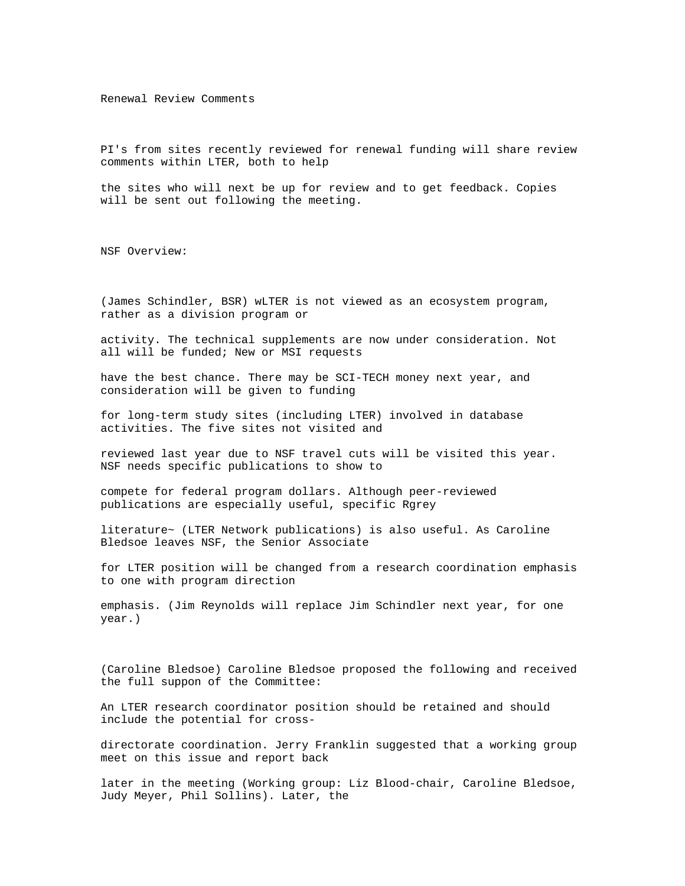Renewal Review Comments

PI's from sites recently reviewed for renewal funding will share review comments within LTER, both to help

the sites who will next be up for review and to get feedback. Copies will be sent out following the meeting.

NSF Overview:

(James Schindler, BSR) wLTER is not viewed as an ecosystem program, rather as a division program or

activity. The technical supplements are now under consideration. Not all will be funded; New or MSI requests

have the best chance. There may be SCI-TECH money next year, and consideration will be given to funding

for long-term study sites (including LTER) involved in database activities. The five sites not visited and

reviewed last year due to NSF travel cuts will be visited this year. NSF needs specific publications to show to

compete for federal program dollars. Although peer-reviewed publications are especially useful, specific Rgrey

literature~ (LTER Network publications) is also useful. As Caroline Bledsoe leaves NSF, the Senior Associate

for LTER position will be changed from a research coordination emphasis to one with program direction

emphasis. (Jim Reynolds will replace Jim Schindler next year, for one year.)

(Caroline Bledsoe) Caroline Bledsoe proposed the following and received the full suppon of the Committee:

An LTER research coordinator position should be retained and should include the potential for cross-

directorate coordination. Jerry Franklin suggested that a working group meet on this issue and report back

later in the meeting (Working group: Liz Blood-chair, Caroline Bledsoe, Judy Meyer, Phil Sollins). Later, the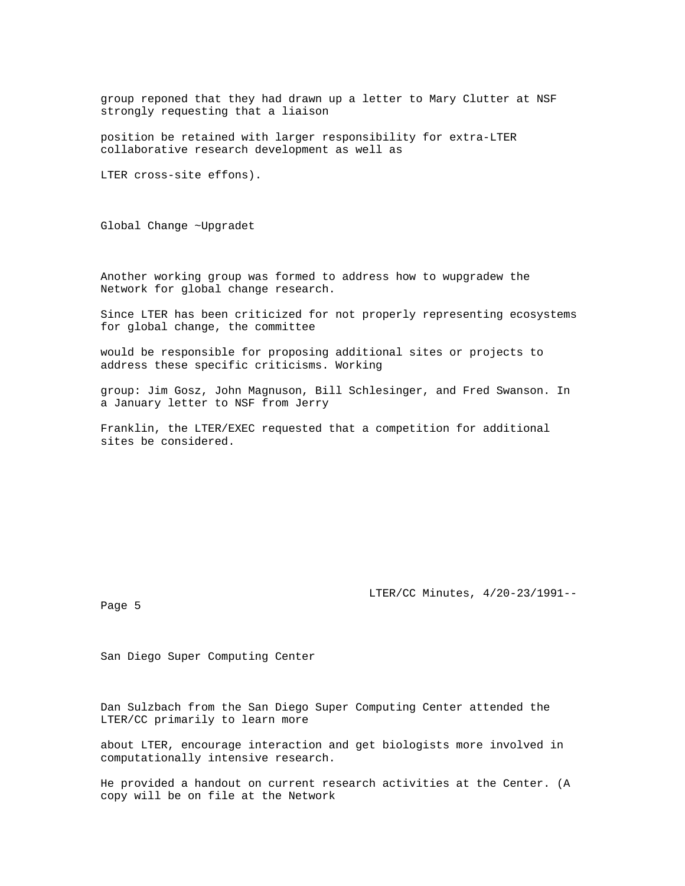group reponed that they had drawn up a letter to Mary Clutter at NSF strongly requesting that a liaison

position be retained with larger responsibility for extra-LTER collaborative research development as well as

LTER cross-site effons).

Global Change ~Upgradet

Another working group was formed to address how to wupgradew the Network for global change research.

Since LTER has been criticized for not properly representing ecosystems for global change, the committee

would be responsible for proposing additional sites or projects to address these specific criticisms. Working

group: Jim Gosz, John Magnuson, Bill Schlesinger, and Fred Swanson. In a January letter to NSF from Jerry

Franklin, the LTER/EXEC requested that a competition for additional sites be considered.

LTER/CC Minutes, 4/20-23/1991--

Page 5

San Diego Super Computing Center

Dan Sulzbach from the San Diego Super Computing Center attended the LTER/CC primarily to learn more

about LTER, encourage interaction and get biologists more involved in computationally intensive research.

He provided a handout on current research activities at the Center. (A copy will be on file at the Network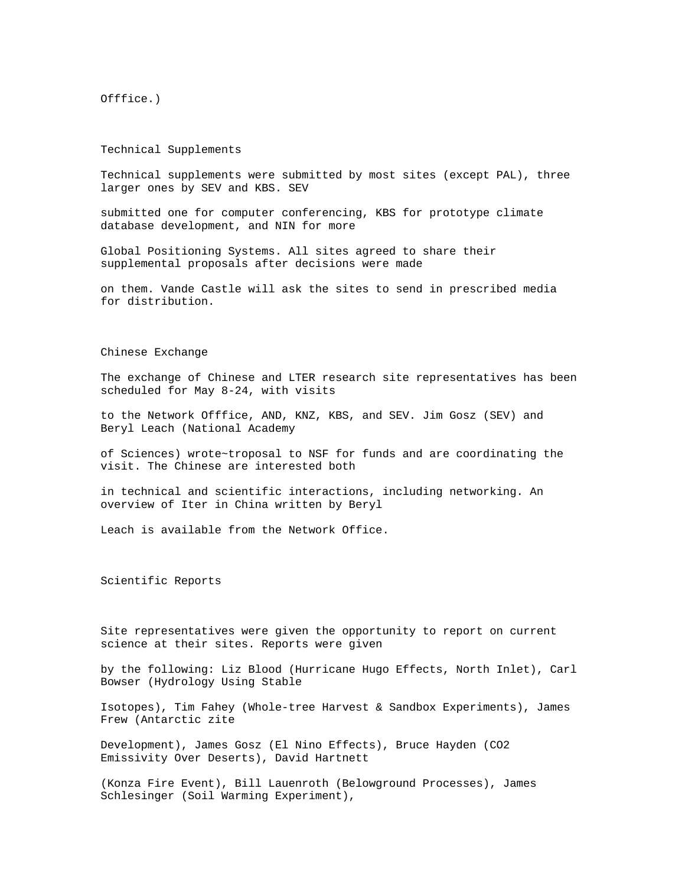Offfice.)

Technical Supplements

Technical supplements were submitted by most sites (except PAL), three larger ones by SEV and KBS. SEV

submitted one for computer conferencing, KBS for prototype climate database development, and NIN for more

Global Positioning Systems. All sites agreed to share their supplemental proposals after decisions were made

on them. Vande Castle will ask the sites to send in prescribed media for distribution.

## Chinese Exchange

The exchange of Chinese and LTER research site representatives has been scheduled for May 8-24, with visits

to the Network Offfice, AND, KNZ, KBS, and SEV. Jim Gosz (SEV) and Beryl Leach (National Academy

of Sciences) wrote~troposal to NSF for funds and are coordinating the visit. The Chinese are interested both

in technical and scientific interactions, including networking. An overview of Iter in China written by Beryl

Leach is available from the Network Office.

Scientific Reports

Site representatives were given the opportunity to report on current science at their sites. Reports were given

by the following: Liz Blood (Hurricane Hugo Effects, North Inlet), Carl Bowser (Hydrology Using Stable

Isotopes), Tim Fahey (Whole-tree Harvest & Sandbox Experiments), James Frew (Antarctic zite

Development), James Gosz (El Nino Effects), Bruce Hayden (CO2 Emissivity Over Deserts), David Hartnett

(Konza Fire Event), Bill Lauenroth (Belowground Processes), James Schlesinger (Soil Warming Experiment),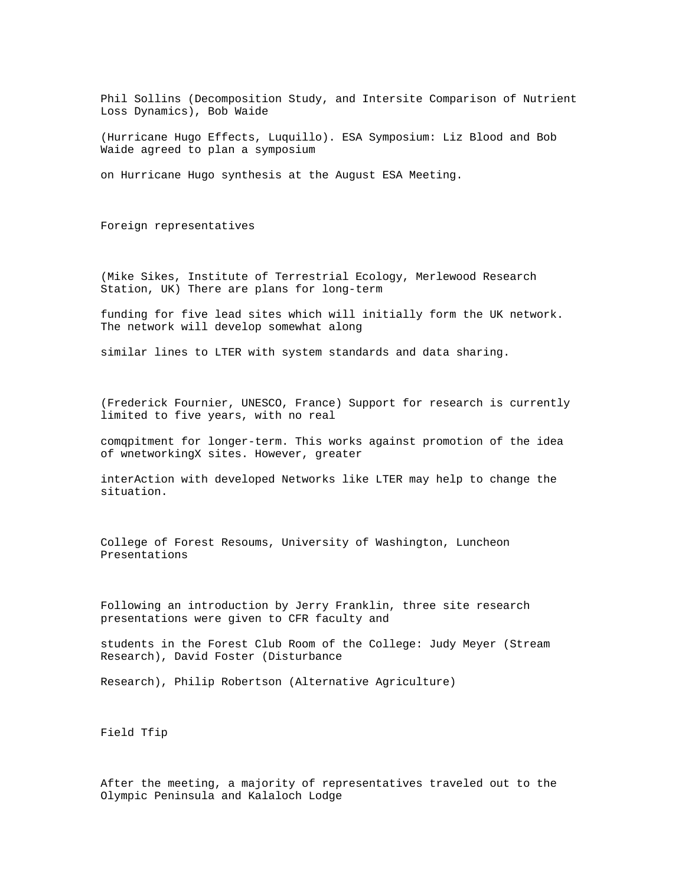Phil Sollins (Decomposition Study, and Intersite Comparison of Nutrient Loss Dynamics), Bob Waide

(Hurricane Hugo Effects, Luquillo). ESA Symposium: Liz Blood and Bob Waide agreed to plan a symposium

on Hurricane Hugo synthesis at the August ESA Meeting.

Foreign representatives

(Mike Sikes, Institute of Terrestrial Ecology, Merlewood Research Station, UK) There are plans for long-term

funding for five lead sites which will initially form the UK network. The network will develop somewhat along

similar lines to LTER with system standards and data sharing.

(Frederick Fournier, UNESCO, France) Support for research is currently limited to five years, with no real

comqpitment for longer-term. This works against promotion of the idea of wnetworkingX sites. However, greater

interAction with developed Networks like LTER may help to change the situation.

College of Forest Resoums, University of Washington, Luncheon Presentations

Following an introduction by Jerry Franklin, three site research presentations were given to CFR faculty and

students in the Forest Club Room of the College: Judy Meyer (Stream Research), David Foster (Disturbance

Research), Philip Robertson (Alternative Agriculture)

Field Tfip

After the meeting, a majority of representatives traveled out to the Olympic Peninsula and Kalaloch Lodge